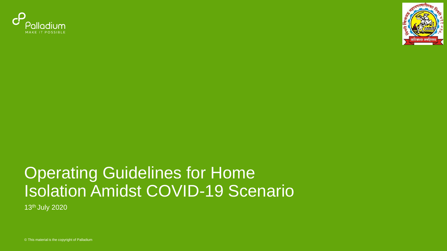



### Operating Guidelines for Home Isolation Amidst COVID-19 Scenario

13th July 2020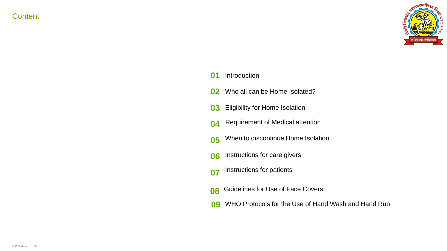**Content** 



#### Introduction  $\mathbf{0}$

- Who all can be Home Isolated? **02**
- Eligibility for Home Isolation **03**
- **04** Requirement of Medical attention
- **05** When to discontinue Home Isolation
- Instructions for care givers **06**
- **07** Instructions for patients
- Guidelines for Use of Face Covers **08**
- WHO Protocols for the Use of Hand Wash and Hand Rub **09**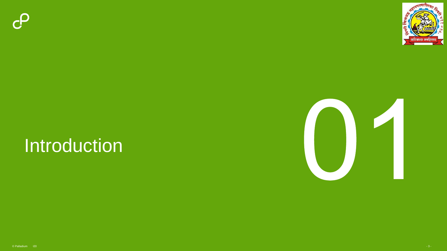



### Introduction

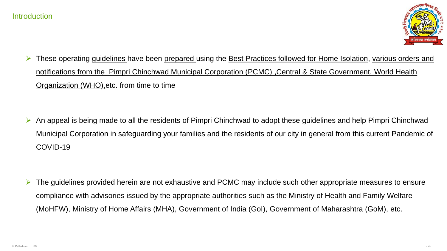

These operating guidelines have been prepared using the Best Practices followed for Home Isolation, various orders and notifications from the Pimpri Chinchwad Municipal Corporation (PCMC) ,Central & State Government, World Health Organization (WHO),etc. from time to time

 An appeal is being made to all the residents of Pimpri Chinchwad to adopt these guidelines and help Pimpri Chinchwad Municipal Corporation in safeguarding your families and the residents of our city in general from this current Pandemic of COVID-19

 $\triangleright$  The guidelines provided herein are not exhaustive and PCMC may include such other appropriate measures to ensure compliance with advisories issued by the appropriate authorities such as the Ministry of Health and Family Welfare (MoHFW), Ministry of Home Affairs (MHA), Government of India (GoI), Government of Maharashtra (GoM), etc.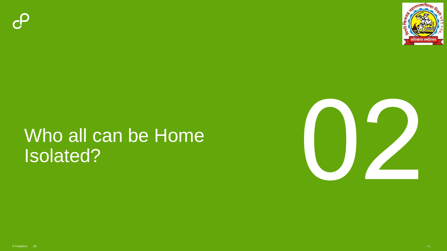



### Who all can be Home Isolated?

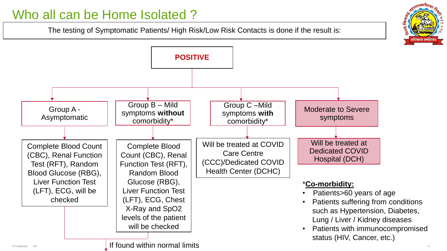#### Who all can be Home Isolated ?

The testing of Symptomatic Patients/ High Risk/Low Risk Contacts is done if the result is:



- 6 -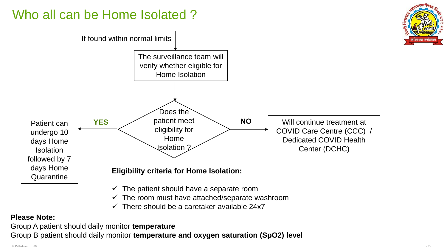#### Who all can be Home Isolated?



- $\checkmark$  The patient should have a separate room
- The room must have attached/separate washroom
- There should be a caretaker available 24x7

#### **Please Note:**

Group A patient should daily monitor **temperature**

Group B patient should daily monitor **temperature and oxygen saturation (SpO2) level**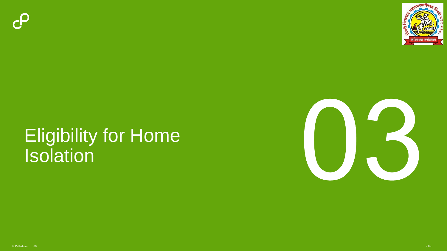



### Eligibility for Home Isolation

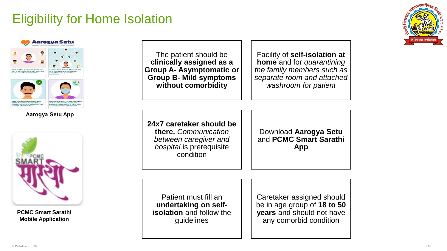#### Eligibility for Home Isolation





**Aarogya Setu App**



**PCMC Smart Sarathi Mobile Application**

The patient should be **clinically assigned as a Group A- Asymptomatic or Group B- Mild symptoms without comorbidity**

Facility of **self-isolation at home** and for *quarantining the family members such as separate room and attached washroom for patient*

**24x7 caretaker should be there.** *Communication between caregiver and hospital* is prerequisite condition

Download **Aarogya Setu** and **PCMC Smart Sarathi App**

Patient must fill an **undertaking on selfisolation** and follow the guidelines

Caretaker assigned should be in age group of **18 to 50 years** and should not have any comorbid condition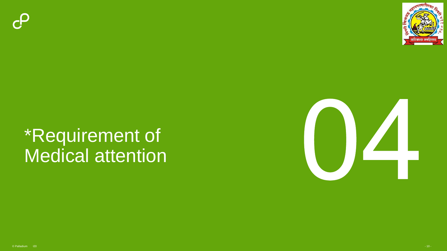



### \*Requirement of Medical attention

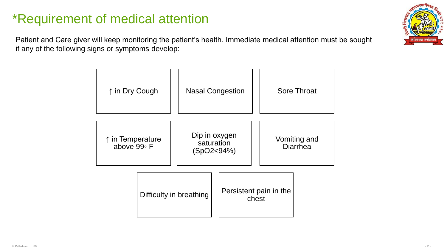#### \*Requirement of medical attention

Patient and Care giver will keep monitoring the patient's health. Immediate medical attention must be sought if any of the following signs or symptoms develop:



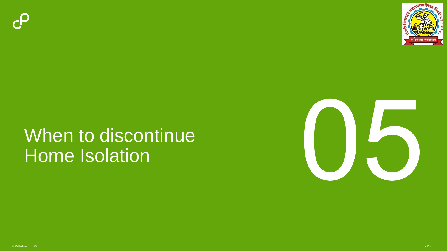



## When to discontinue Home Isolation

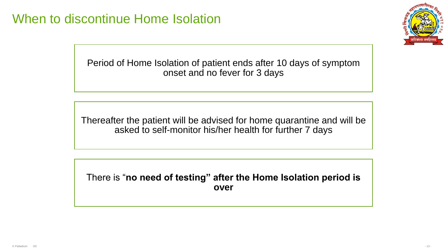

Period of Home Isolation of patient ends after 10 days of symptom onset and no fever for 3 days

Thereafter the patient will be advised for home quarantine and will be asked to self-monitor his/her health for further 7 days

There is "**no need of testing" after the Home Isolation period is over**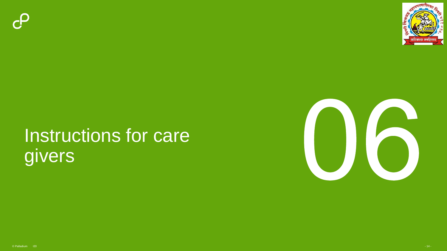



# Instructions for care givers

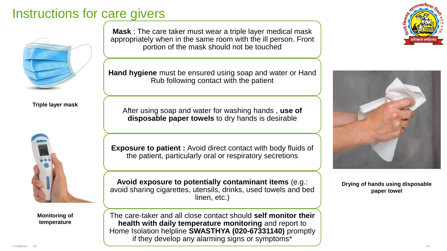#### Instructions for care givers



**Triple layer mask**



**Monitoring of temperature** 

**Mask** : The care taker must wear a triple layer medical mask appropriately when in the same room with the ill person. Front portion of the mask should not be touched

**Hand hygiene** must be ensured using soap and water or Hand Rub following contact with the patient

After using soap and water for washing hands , **use of disposable paper towels** to dry hands is desirable

**Exposure to patient :** Avoid direct contact with body fluids of the patient, particularly oral or respiratory secretions

**Avoid exposure to potentially contaminant items** (e.g.: avoid sharing cigarettes, utensils, drinks, used towels and bed linen, etc.)

The care-taker and all close contact should **self monitor their health with daily temperature monitoring** and report to Home Isolation helpline **SWASTHYA (020-67331140)** promptly if they develop any alarming signs or symptoms\*





**Drying of hands using disposable paper towel**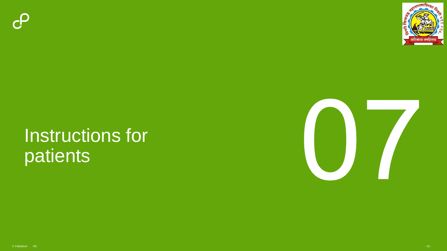



### Instructions for patients

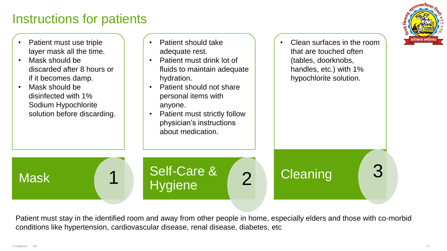#### Instructions for patients



- Patient must use triple layer mask all the time.
- Mask should be discarded after 8 hours or if it becomes damp.
- Mask should be disinfected with 1% Sodium Hypochlorite solution before discarding.
- Patient should take adequate rest.
- Patient must drink lot of fluids to maintain adequate hydration.
- Patient should not share personal items with anyone.
- Patient must strictly follow physician's instructions about medication.

Burbald & 2<br>Hygiene 2

Self-Care &

• Clean surfaces in the room that are touched often (tables, doorknobs, handles, etc.) with 1% hypochlorite solution.

**Cleaning** 

Patient must stay in the identified room and away from other people in home, especially elders and those with co-morbid conditions like hypertension, cardiovascular disease, renal disease, diabetes, etc

**Mask**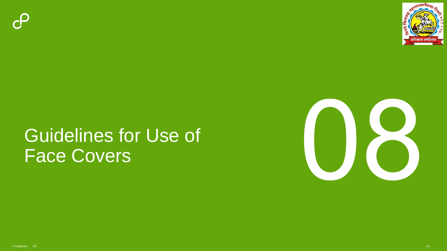



### Guidelines for Use of Face Covers

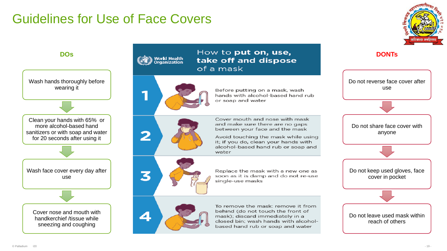#### Guidelines for Use of Face Covers







Wash face cover every day after use



## **DOS** Morld Health **Example 2008** Morld Health **How to put on, use, <b>DONTs DONTs**



Before putting on a mask, wash hands with alcohol-based hand rub or soap and water



water

of a mask



Replace the mask with a new one as soon as it is damp and do not re-use single-use masks



To remove the mask: remove it from behind (do not touch the front of mask); discard immediately in a closed bin; wash hands with alcoholbased hand rub or soap and water

Cover mouth and nose with mask and make sure there are no gaps between your face and the mask

Avoid touching the mask while using it; if you do, clean your hands with alcohol-based hand rub or soap and

Do not keep used gloves, face cover in pocket Do not leave used mask within reach of others

Do not reverse face cover after use

Do not share face cover with anyone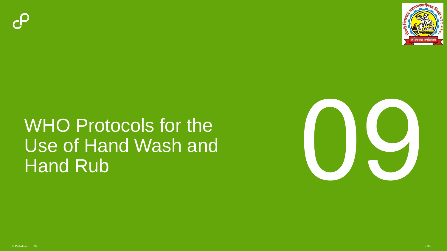



### WHO Protocols for the Use of Hand Wash and Hand Rub

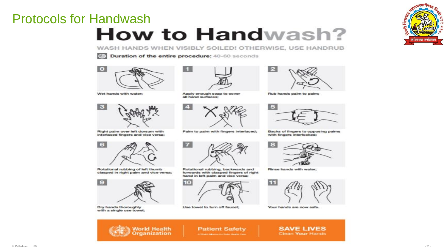#### Protocols for Handwash

### **How to Handwash?**

WASH HANDS WHEN VISIBLY SOILED! OTHERWISE, USE HANDRUB



Duration of the entire procedure: 40-60 seconds



Wet hands with water:



Right palm over left dorsum with interlaced fingers and vice versa:



Apply enough soap to cover all hand surfaces;



Palm to palm with fingers interlaced;



Rub hands palm to palm;

 $\epsilon$ 



Backs of fingers to opposing palms with fingers interlocked;



Rotational rubbing of left thumb clasped in right palm and vice versa;



**World Health**<br>Organization

Dry hands thoroughly with a single use towel;



Rotational rubbing, backwards and forwards with clasped fingers of right hand in left palm and vice versa;



ы.



Use towel to turn off faucet;

Your hands are now safe.

**Patient Safety** A WANTED BELLEVILLE FOR THE REAL PROPERTY COAN



Clean Your Hands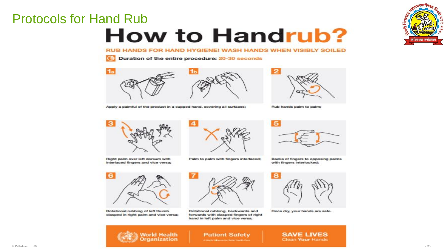#### Protocols for Hand Rub

## **How to Handrub?**



RUB HANDS FOR HAND HYGIENE! WASH HANDS WHEN VISIBLY SOILED

Duration of the entire procedure: 20-30 seconds



Apply a palmful of the product in a cupped hand, covering all surfaces;



Rub hands palm to palm;



Right palm over left dorsum with interlaced fingers and vice versa;



Palm to palm with fingers interlaced;



Backs of fingers to opposing palms with fingers interlocked;



Rotational rubbing of left thumb clasped in right palm and vice versa;



Rotational rubbing, backwards and forwards with clasped fingers of right hand in left palm and vice versa;



Once dry, your hands are safe.



**Patient Safety** Armedic Alliance for Sales Health Cash **SAVE LIVES** Clean Your Hands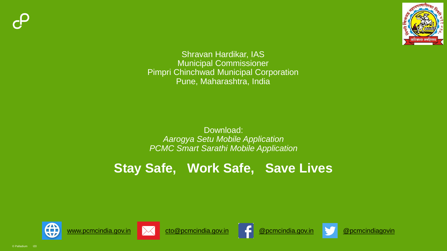



Shravan Hardikar, IAS Municipal Commissioner Pimpri Chinchwad Municipal Corporation Pune, Maharashtra, India

Download: *Aarogya Setu Mobile Application PCMC Smart Sarathi Mobile Application*

#### **Stay Safe, Work Safe, Save Lives**